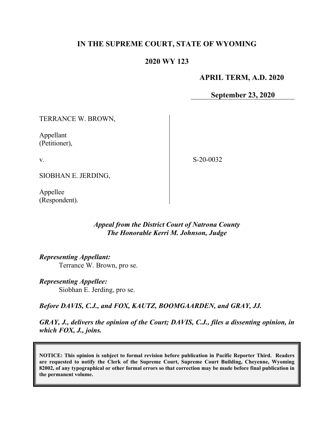# **IN THE SUPREME COURT, STATE OF WYOMING**

## **2020 WY 123**

#### **APRIL TERM, A.D. 2020**

**September 23, 2020**

TERRANCE W. BROWN,

Appellant (Petitioner),

v.

S-20-0032

SIOBHAN E. JERDING,

Appellee (Respondent).

#### *Appeal from the District Court of Natrona County The Honorable Kerri M. Johnson, Judge*

*Representing Appellant:*

Terrance W. Brown, pro se.

*Representing Appellee:* Siobhan E. Jerding, pro se.

*Before DAVIS, C.J., and FOX, KAUTZ, BOOMGAARDEN, and GRAY, JJ.*

*GRAY, J., delivers the opinion of the Court; DAVIS, C.J., files a dissenting opinion, in which FOX, J., joins.*

**NOTICE: This opinion is subject to formal revision before publication in Pacific Reporter Third. Readers are requested to notify the Clerk of the Supreme Court, Supreme Court Building, Cheyenne, Wyoming 82002, of any typographical or other formal errors so that correction may be made before final publication in the permanent volume.**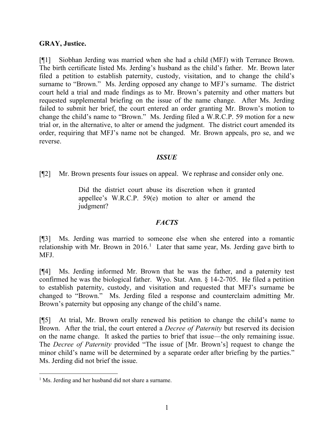## **GRAY, Justice.**

[¶1] Siobhan Jerding was married when she had a child (MFJ) with Terrance Brown. The birth certificate listed Ms. Jerding's husband as the child's father. Mr. Brown later filed a petition to establish paternity, custody, visitation, and to change the child's surname to "Brown." Ms. Jerding opposed any change to MFJ's surname. The district court held a trial and made findings as to Mr. Brown's paternity and other matters but requested supplemental briefing on the issue of the name change. After Ms. Jerding failed to submit her brief, the court entered an order granting Mr. Brown's motion to change the child's name to "Brown." Ms. Jerding filed a W.R.C.P. 59 motion for a new trial or, in the alternative, to alter or amend the judgment. The district court amended its order, requiring that MFJ's name not be changed. Mr. Brown appeals, pro se, and we reverse.

#### *ISSUE*

[¶2] Mr. Brown presents four issues on appeal. We rephrase and consider only one.

Did the district court abuse its discretion when it granted appellee's W.R.C.P. 59(e) motion to alter or amend the judgment?

## *FACTS*

[¶3] Ms. Jerding was married to someone else when she entered into a romantic relationship with Mr. Brown in  $2016<sup>1</sup>$  $2016<sup>1</sup>$  $2016<sup>1</sup>$  Later that same year, Ms. Jerding gave birth to MFJ.

[¶4] Ms. Jerding informed Mr. Brown that he was the father, and a paternity test confirmed he was the biological father. Wyo. Stat. Ann. § 14-2-705. He filed a petition to establish paternity, custody, and visitation and requested that MFJ's surname be changed to "Brown." Ms. Jerding filed a response and counterclaim admitting Mr. Brown's paternity but opposing any change of the child's name.

[¶5] At trial, Mr. Brown orally renewed his petition to change the child's name to Brown. After the trial, the court entered a *Decree of Paternity* but reserved its decision on the name change. It asked the parties to brief that issue—the only remaining issue. The *Decree of Paternity* provided "The issue of [Mr. Brown's] request to change the minor child's name will be determined by a separate order after briefing by the parties." Ms. Jerding did not brief the issue.

<span id="page-1-0"></span><sup>&</sup>lt;sup>1</sup> Ms. Jerding and her husband did not share a surname.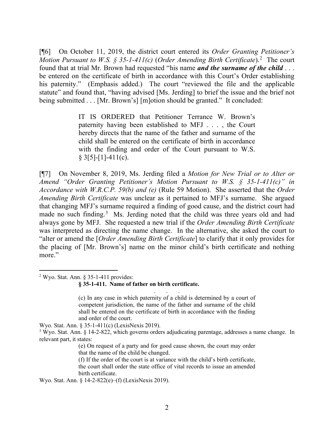[¶6] On October 11, 2019, the district court entered its *Order Granting Petitioner's Motion Pursuant to W.S. § 35-1-411(c)* (*Order Amending Birth Certificate*). [2](#page-2-0) The court found that at trial Mr. Brown had requested "his name *and the surname of the child* . . . be entered on the certificate of birth in accordance with this Court's Order establishing his paternity." (Emphasis added.) The court "reviewed the file and the applicable statute" and found that, "having advised [Ms. Jerding] to brief the issue and the brief not being submitted . . . [Mr. Brown's] [m]otion should be granted." It concluded:

> IT IS ORDERED that Petitioner Terrance W. Brown's paternity having been established to MFJ . . . , the Court hereby directs that the name of the father and surname of the child shall be entered on the certificate of birth in accordance with the finding and order of the Court pursuant to W.S.  $§ 3[5]-[1]-411(c).$

[¶7] On November 8, 2019, Ms. Jerding filed a *Motion for New Trial or to Alter or Amend "Order Granting Petitioner's Motion Pursuant to W.S. § 35-1-411(c)" in Accordance with W.R.C.P. 59(b) and (e)* (Rule 59 Motion). She asserted that the *Order Amending Birth Certificate* was unclear as it pertained to MFJ's surname. She argued that changing MFJ's surname required a finding of good cause, and the district court had made no such finding.<sup>[3](#page-2-1)</sup> Ms. Jerding noted that the child was three years old and had always gone by MFJ. She requested a new trial if the *Order Amending Birth Certificate* was interpreted as directing the name change. In the alternative, she asked the court to "alter or amend the [*Order Amending Birth Certificate*] to clarify that it only provides for the placing of [Mr. Brown's] name on the minor child's birth certificate and nothing more."

<span id="page-2-0"></span> $2$  Wyo. Stat. Ann. § 35-1-411 provides:

**§ 35-1-411. Name of father on birth certificate.**

. . . (c) In any case in which paternity of a child is determined by a court of competent jurisdiction, the name of the father and surname of the child shall be entered on the certificate of birth in accordance with the finding and order of the court.

Wyo. Stat. Ann. § 35-1-411(c) (LexisNexis 2019).

<span id="page-2-1"></span><sup>3</sup> Wyo. Stat. Ann. § 14-2-822, which governs orders adjudicating parentage, addresses a name change. In relevant part, it states:

> (e) On request of a party and for good cause shown, the court may order that the name of the child be changed.

> (f) If the order of the court is at variance with the child's birth certificate, the court shall order the state office of vital records to issue an amended birth certificate.

Wyo. Stat. Ann. § 14-2-822(e)–(f) (LexisNexis 2019).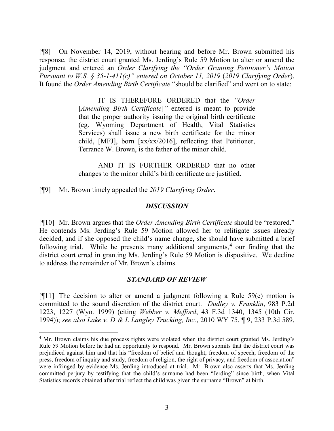[¶8] On November 14, 2019, without hearing and before Mr. Brown submitted his response, the district court granted Ms. Jerding's Rule 59 Motion to alter or amend the judgment and entered an *Order Clarifying the "Order Granting Petitioner's Motion Pursuant to W.S. § 35-1-411(c)" entered on October 11, 2019* (*2019 Clarifying Order*). It found the *Order Amending Birth Certificate* "should be clarified" and went on to state:

> IT IS THEREFORE ORDERED that the *"Order*  [*Amending Birth Certificate*]*"* entered is meant to provide that the proper authority issuing the original birth certificate (eg. Wyoming Department of Health, Vital Statistics Services) shall issue a new birth certificate for the minor child, [MFJ], born [xx/xx/2016], reflecting that Petitioner, Terrance W. Brown, is the father of the minor child.

> AND IT IS FURTHER ORDERED that no other changes to the minor child's birth certificate are justified.

[¶9] Mr. Brown timely appealed the *2019 Clarifying Order*.

#### *DISCUSSION*

[¶10] Mr. Brown argues that the *Order Amending Birth Certificate* should be "restored." He contends Ms. Jerding's Rule 59 Motion allowed her to relitigate issues already decided, and if she opposed the child's name change, she should have submitted a brief following trial. While he presents many additional arguments,<sup>[4](#page-3-0)</sup> our finding that the district court erred in granting Ms. Jerding's Rule 59 Motion is dispositive. We decline to address the remainder of Mr. Brown's claims.

## *STANDARD OF REVIEW*

[¶11] The decision to alter or amend a judgment following a Rule 59(e) motion is committed to the sound discretion of the district court. *Dudley v. Franklin*, 983 P.2d 1223, 1227 (Wyo. 1999) (citing *Webber v. Mefford*, 43 F.3d 1340, 1345 (10th Cir. 1994)); *see also Lake v. D & L Langley Trucking, Inc.*, 2010 WY 75, ¶ 9, 233 P.3d 589,

<span id="page-3-0"></span><sup>&</sup>lt;sup>4</sup> Mr. Brown claims his due process rights were violated when the district court granted Ms. Jerding's Rule 59 Motion before he had an opportunity to respond. Mr. Brown submits that the district court was prejudiced against him and that his "freedom of belief and thought, freedom of speech, freedom of the press, freedom of inquiry and study, freedom of religion, the right of privacy, and freedom of association" were infringed by evidence Ms. Jerding introduced at trial. Mr. Brown also asserts that Ms. Jerding committed perjury by testifying that the child's surname had been "Jerding" since birth, when Vital Statistics records obtained after trial reflect the child was given the surname "Brown" at birth.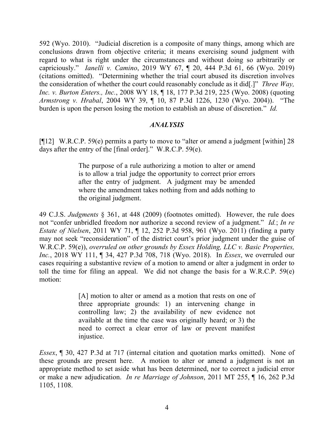592 (Wyo. 2010). "Judicial discretion is a composite of many things, among which are conclusions drawn from objective criteria; it means exercising sound judgment with regard to what is right under the circumstances and without doing so arbitrarily or capriciously." *Ianelli v. Camino*, 2019 WY 67, ¶ 20, 444 P.3d 61, 66 (Wyo. 2019) (citations omitted). "Determining whether the trial court abused its discretion involves the consideration of whether the court could reasonably conclude as it did[.]" *Three Way, Inc. v. Burton Enters., Inc.*, 2008 WY 18, ¶ 18, 177 P.3d 219, 225 (Wyo. 2008) (quoting *Armstrong v. Hrabal*, 2004 WY 39, ¶ 10, 87 P.3d 1226, 1230 (Wyo. 2004)). "The burden is upon the person losing the motion to establish an abuse of discretion." *Id.*

#### *ANALYSIS*

[¶12] W.R.C.P. 59(e) permits a party to move to "alter or amend a judgment [within] 28 days after the entry of the [final order]." W.R.C.P. 59(e).

> The purpose of a rule authorizing a motion to alter or amend is to allow a trial judge the opportunity to correct prior errors after the entry of judgment. A judgment may be amended where the amendment takes nothing from and adds nothing to the original judgment.

49 C.J.S. *Judgments* § 361, at 448 (2009) (footnotes omitted). However, the rule does not "confer unbridled freedom nor authorize a second review of a judgment." *Id.*; *In re Estate of Nielsen*, 2011 WY 71, ¶ 12, 252 P.3d 958, 961 (Wyo. 2011) (finding a party may not seek "reconsideration" of the district court's prior judgment under the guise of W.R.C.P. 59(e)), *overruled on other grounds by Essex Holding, LLC v. Basic Properties, Inc.*, 2018 WY 111, ¶ 34, 427 P.3d 708, 718 (Wyo. 2018). In *Essex*, we overruled our cases requiring a substantive review of a motion to amend or alter a judgment in order to toll the time for filing an appeal. We did not change the basis for a W.R.C.P. 59(e) motion:

> [A] motion to alter or amend as a motion that rests on one of three appropriate grounds: 1) an intervening change in controlling law; 2) the availability of new evidence not available at the time the case was originally heard; or 3) the need to correct a clear error of law or prevent manifest injustice.

*Essex*, ¶ 30, 427 P.3d at 717 (internal citation and quotation marks omitted). None of these grounds are present here. A motion to alter or amend a judgment is not an appropriate method to set aside what has been determined, nor to correct a judicial error or make a new adjudication. *In re Marriage of Johnson*, 2011 MT 255, ¶ 16, 262 P.3d 1105, 1108.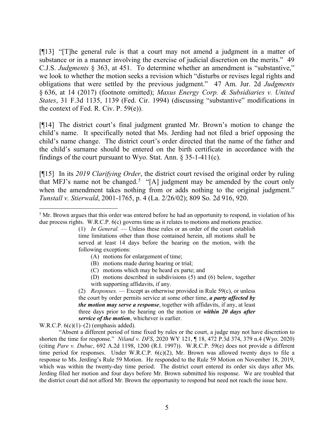[¶13] "[T]he general rule is that a court may not amend a judgment in a matter of substance or in a manner involving the exercise of judicial discretion on the merits." 49 C.J.S. *Judgments* § 363, at 451. To determine whether an amendment is "substantive," we look to whether the motion seeks a revision which "disturbs or revises legal rights and obligations that were settled by the previous judgment." 47 Am. Jur. 2d *Judgments* § 636, at 14 (2017) (footnote omitted); *Maxus Energy Corp. & Subsidiaries v. United States*, 31 F.3d 1135, 1139 (Fed. Cir. 1994) (discussing "substantive" modifications in the context of Fed. R. Civ. P. 59(e)).

[¶14] The district court's final judgment granted Mr. Brown's motion to change the child's name. It specifically noted that Ms. Jerding had not filed a brief opposing the child's name change. The district court's order directed that the name of the father and the child's surname should be entered on the birth certificate in accordance with the findings of the court pursuant to Wyo. Stat. Ann.  $\S 35$ -1-411(c).

[¶15] In its *2019 Clarifying Order*, the district court revised the original order by ruling that MFJ's name not be changed.<sup>[5](#page-5-0)</sup> "[A] judgment may be amended by the court only when the amendment takes nothing from or adds nothing to the original judgment." *Tunstall v. Stierwald*, 2001-1765, p. 4 (La. 2/26/02); 809 So. 2d 916, 920.

- (A) motions for enlargement of time;
- (B) motions made during hearing or trial;
- (C) motions which may be heard ex parte; and
- (D) motions described in subdivisions (5) and (6) below, together with supporting affidavits, if any.
- (2) *Responses.* Except as otherwise provided in Rule 59(c), or unless the court by order permits service at some other time, *a party affected by the motion may serve a response*, together with affidavits, if any, at least three days prior to the hearing on the motion or *within 20 days after service of the motion*, whichever is earlier.

W.R.C.P.  $6(c)(1)$ – $(2)$  (emphasis added).

"Absent a different period of time fixed by rules or the court, a judge may not have discretion to shorten the time for response." *Niland v. DFS*, 2020 WY 121, ¶ 18, 472 P.3d 374, 379 n.4 (Wyo. 2020) (citing *Pare v. Dubuc*, 692 A.2d 1198, 1200 (R.I. 1997)). W.R.C.P. 59(e) does not provide a different time period for responses. Under W.R.C.P. 6(c)(2), Mr. Brown was allowed twenty days to file a response to Ms. Jerding's Rule 59 Motion. He responded to the Rule 59 Motion on November 18, 2019, which was within the twenty-day time period. The district court entered its order six days after Ms. Jerding filed her motion and four days before Mr. Brown submitted his response. We are troubled that the district court did not afford Mr. Brown the opportunity to respond but need not reach the issue here.

<span id="page-5-0"></span><sup>&</sup>lt;sup>5</sup> Mr. Brown argues that this order was entered before he had an opportunity to respond, in violation of his due process rights. W.R.C.P. 6(c) governs time as it relates to motions and motions practice.

<sup>(1)</sup> *In General.* — Unless these rules or an order of the court establish time limitations other than those contained herein, all motions shall be served at least 14 days before the hearing on the motion, with the following exceptions: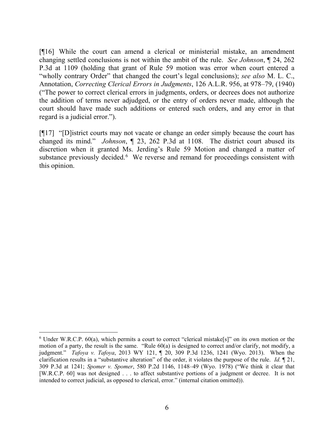[¶16] While the court can amend a clerical or ministerial mistake, an amendment changing settled conclusions is not within the ambit of the rule. *See Johnson*, ¶ 24, 262 P.3d at 1109 (holding that grant of Rule 59 motion was error when court entered a "wholly contrary Order" that changed the court's legal conclusions); *see also* M. L. C., Annotation, *Correcting Clerical Errors in Judgments*, 126 A.L.R. 956, at 978–79, (1940) ("The power to correct clerical errors in judgments, orders, or decrees does not authorize the addition of terms never adjudged, or the entry of orders never made, although the court should have made such additions or entered such orders, and any error in that regard is a judicial error.").

[¶17] "[D]istrict courts may not vacate or change an order simply because the court has changed its mind." *Johnson*, ¶ 23, 262 P.3d at 1108. The district court abused its discretion when it granted Ms. Jerding's Rule 59 Motion and changed a matter of substance previously decided.<sup>[6](#page-6-0)</sup> We reverse and remand for proceedings consistent with this opinion.

<span id="page-6-0"></span><sup>6</sup> Under W.R.C.P. 60(a), which permits a court to correct "clerical mistake[s]" on its own motion or the motion of a party, the result is the same. "Rule 60(a) is designed to correct and/or clarify, not modify, a judgment." *Tafoya v. Tafoya*, 2013 WY 121, ¶ 20, 309 P.3d 1236, 1241 (Wyo. 2013). When the clarification results in a "substantive alteration" of the order, it violates the purpose of the rule. *Id.* ¶ 21, 309 P.3d at 1241; *Spomer v. Spomer*, 580 P.2d 1146, 1148–49 (Wyo. 1978) ("We think it clear that [W.R.C.P. 60] was not designed . . . to affect substantive portions of a judgment or decree. It is not intended to correct judicial, as opposed to clerical, error." (internal citation omitted)).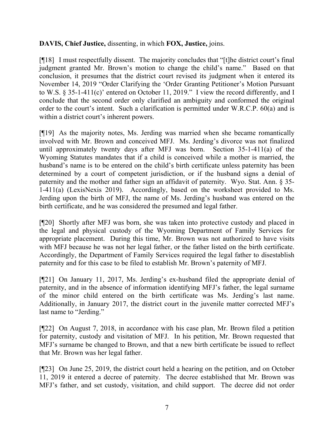## **DAVIS, Chief Justice,** dissenting, in which **FOX, Justice,** joins.

[¶18] I must respectfully dissent. The majority concludes that "[t]he district court's final judgment granted Mr. Brown's motion to change the child's name." Based on that conclusion, it presumes that the district court revised its judgment when it entered its November 14, 2019 "Order Clarifying the 'Order Granting Petitioner's Motion Pursuant to W.S. § 35-1-411(c)' entered on October 11, 2019." I view the record differently, and I conclude that the second order only clarified an ambiguity and conformed the original order to the court's intent. Such a clarification is permitted under W.R.C.P. 60(a) and is within a district court's inherent powers.

[¶19] As the majority notes, Ms. Jerding was married when she became romantically involved with Mr. Brown and conceived MFJ. Ms. Jerding's divorce was not finalized until approximately twenty days after MFJ was born. Section 35-1-411(a) of the Wyoming Statutes mandates that if a child is conceived while a mother is married, the husband's name is to be entered on the child's birth certificate unless paternity has been determined by a court of competent jurisdiction, or if the husband signs a denial of paternity and the mother and father sign an affidavit of paternity. Wyo. Stat. Ann. § 35- 1-411(a) (LexisNexis 2019). Accordingly, based on the worksheet provided to Ms. Jerding upon the birth of MFJ, the name of Ms. Jerding's husband was entered on the birth certificate, and he was considered the presumed and legal father.

[¶20] Shortly after MFJ was born, she was taken into protective custody and placed in the legal and physical custody of the Wyoming Department of Family Services for appropriate placement. During this time, Mr. Brown was not authorized to have visits with MFJ because he was not her legal father, or the father listed on the birth certificate. Accordingly, the Department of Family Services required the legal father to disestablish paternity and for this case to be filed to establish Mr. Brown's paternity of MFJ.

[¶21] On January 11, 2017, Ms. Jerding's ex-husband filed the appropriate denial of paternity, and in the absence of information identifying MFJ's father, the legal surname of the minor child entered on the birth certificate was Ms. Jerding's last name. Additionally, in January 2017, the district court in the juvenile matter corrected MFJ's last name to "Jerding."

[¶22] On August 7, 2018, in accordance with his case plan, Mr. Brown filed a petition for paternity, custody and visitation of MFJ. In his petition, Mr. Brown requested that MFJ's surname be changed to Brown, and that a new birth certificate be issued to reflect that Mr. Brown was her legal father.

[¶23] On June 25, 2019, the district court held a hearing on the petition, and on October 11, 2019 it entered a decree of paternity. The decree established that Mr. Brown was MFJ's father, and set custody, visitation, and child support. The decree did not order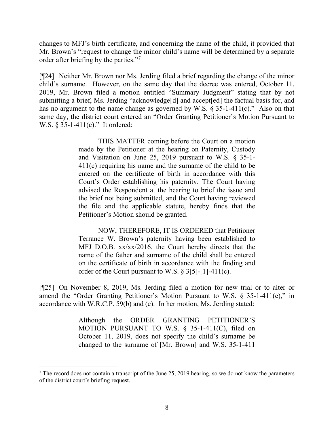changes to MFJ's birth certificate, and concerning the name of the child, it provided that Mr. Brown's "request to change the minor child's name will be determined by a separate order after briefing by the parties."[7](#page-8-0)

[¶24] Neither Mr. Brown nor Ms. Jerding filed a brief regarding the change of the minor child's surname. However, on the same day that the decree was entered, October 11, 2019, Mr. Brown filed a motion entitled "Summary Judgment" stating that by not submitting a brief, Ms. Jerding "acknowledge[d] and accept[ed] the factual basis for, and has no argument to the name change as governed by W.S. § 35-1-411(c)." Also on that same day, the district court entered an "Order Granting Petitioner's Motion Pursuant to W.S. § 35-1-411(c)." It ordered:

> THIS MATTER coming before the Court on a motion made by the Petitioner at the hearing on Paternity, Custody and Visitation on June 25, 2019 pursuant to W.S. § 35-1- 411(c) requiring his name and the surname of the child to be entered on the certificate of birth in accordance with this Court's Order establishing his paternity. The Court having advised the Respondent at the hearing to brief the issue and the brief not being submitted, and the Court having reviewed the file and the applicable statute, hereby finds that the Petitioner's Motion should be granted.

> NOW, THEREFORE, IT IS ORDERED that Petitioner Terrance W. Brown's paternity having been established to MFJ D.O.B. xx/xx/2016, the Court hereby directs that the name of the father and surname of the child shall be entered on the certificate of birth in accordance with the finding and order of the Court pursuant to W.S. § 3[5]-[1]-411(c).

[¶25] On November 8, 2019, Ms. Jerding filed a motion for new trial or to alter or amend the "Order Granting Petitioner's Motion Pursuant to W.S. § 35-1-411(c)," in accordance with W.R.C.P. 59(b) and (e). In her motion, Ms. Jerding stated:

> Although the ORDER GRANTING PETITIONER'S MOTION PURSUANT TO W.S. § 35-1-411(C), filed on October 11, 2019, does not specify the child's surname be changed to the surname of [Mr. Brown] and W.S. 35-1-411

<span id="page-8-0"></span> $<sup>7</sup>$  The record does not contain a transcript of the June 25, 2019 hearing, so we do not know the parameters</sup> of the district court's briefing request.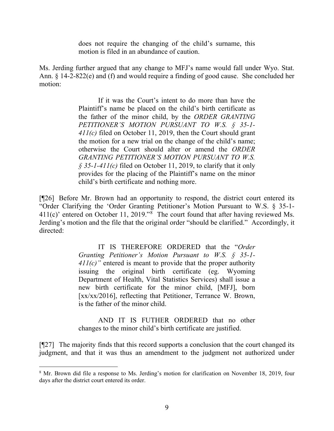does not require the changing of the child's surname, this motion is filed in an abundance of caution.

Ms. Jerding further argued that any change to MFJ's name would fall under Wyo. Stat. Ann. § 14-2-822(e) and (f) and would require a finding of good cause. She concluded her motion:

> If it was the Court's intent to do more than have the Plaintiff's name be placed on the child's birth certificate as the father of the minor child, by the *ORDER GRANTING PETITIONER'S MOTION PURSUANT TO W.S. § 35-1- 411(c)* filed on October 11, 2019, then the Court should grant the motion for a new trial on the change of the child's name; otherwise the Court should alter or amend the *ORDER GRANTING PETITIONER'S MOTION PURSUANT TO W.S. § 35-1-411(c)* filed on October 11, 2019, to clarify that it only provides for the placing of the Plaintiff's name on the minor child's birth certificate and nothing more.

[¶26] Before Mr. Brown had an opportunity to respond, the district court entered its "Order Clarifying the 'Order Granting Petitioner's Motion Pursuant to W.S. § 35-1-  $411(c)$ ' entered on October 11, 2019."<sup>[8](#page-9-0)</sup> The court found that after having reviewed Ms. Jerding's motion and the file that the original order "should be clarified." Accordingly, it directed:

> IT IS THEREFORE ORDERED that the "*Order Granting Petitioner's Motion Pursuant to W.S. § 35-1- 411(c)"* entered is meant to provide that the proper authority issuing the original birth certificate (eg. Wyoming Department of Health, Vital Statistics Services) shall issue a new birth certificate for the minor child, [MFJ], born [xx/xx/2016], reflecting that Petitioner, Terrance W. Brown, is the father of the minor child.

> AND IT IS FUTHER ORDERED that no other changes to the minor child's birth certificate are justified.

[¶27] The majority finds that this record supports a conclusion that the court changed its judgment, and that it was thus an amendment to the judgment not authorized under

<span id="page-9-0"></span><sup>8</sup> Mr. Brown did file a response to Ms. Jerding's motion for clarification on November 18, 2019, four days after the district court entered its order.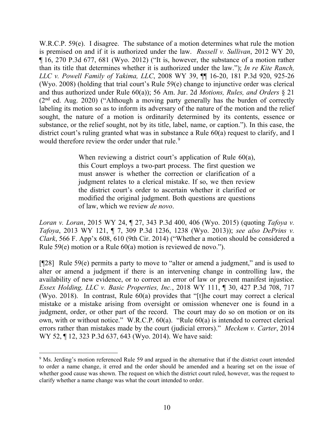W.R.C.P. 59(e). I disagree. The substance of a motion determines what rule the motion is premised on and if it is authorized under the law. *Russell v. Sullivan*, 2012 WY 20, ¶ 16, 270 P.3d 677, 681 (Wyo. 2012) ("It is, however, the substance of a motion rather than its title that determines whether it is authorized under the law."); *In re Kite Ranch, LLC v. Powell Family of Yakima, LLC*, 2008 WY 39, ¶¶ 16-20, 181 P.3d 920, 925-26 (Wyo. 2008) (holding that trial court's Rule 59(e) change to injunctive order was clerical and thus authorized under Rule 60(a)); 56 Am. Jur. 2d *Motions, Rules, and Orders* § 21  $(2<sup>nd</sup>$  ed. Aug. 2020) ("Although a moving party generally has the burden of correctly labeling its motion so as to inform its adversary of the nature of the motion and the relief sought, the nature of a motion is ordinarily determined by its contents, essence or substance, or the relief sought, not by its title, label, name, or caption."). In this case, the district court's ruling granted what was in substance a Rule  $60(a)$  request to clarify, and I would therefore review the order under that rule.<sup>[9](#page-10-0)</sup>

> When reviewing a district court's application of [Rule 60\(a\),](http://www.westlaw.com/Link/Document/FullText?findType=L&pubNum=1008760&cite=WYRRCPR60&originatingDoc=I4e8b6208b87c11e4a807ad48145ed9f1&refType=LQ&originationContext=document&vr=3.0&rs=cblt1.0&transitionType=DocumentItem&contextData=(sc.Keycite)) this Court employs a two-part process. The first question we must answer is whether the correction or clarification of a judgment relates to a clerical mistake. If so, we then review the district court's order to ascertain whether it clarified or modified the original judgment. Both questions are questions of law, which we review *de novo*.

*Loran v. Loran*, 2015 WY 24, ¶ 27, 343 P.3d 400, 406 (Wyo. 2015) (quoting *[Tafoya v.](http://www.westlaw.com/Link/Document/FullText?findType=Y&serNum=2031702366&pubNum=0004645&originatingDoc=I4e8b6208b87c11e4a807ad48145ed9f1&refType=RP&fi=co_pp_sp_4645_1238&originationContext=document&vr=3.0&rs=cblt1.0&transitionType=DocumentItem&contextData=(sc.Keycite)#co_pp_sp_4645_1238)  Tafoya*[, 2013 WY 121, ¶ 7, 309 P.3d 1236, 1238 \(Wyo.](http://www.westlaw.com/Link/Document/FullText?findType=Y&serNum=2031702366&pubNum=0004645&originatingDoc=I4e8b6208b87c11e4a807ad48145ed9f1&refType=RP&fi=co_pp_sp_4645_1238&originationContext=document&vr=3.0&rs=cblt1.0&transitionType=DocumentItem&contextData=(sc.Keycite)#co_pp_sp_4645_1238) 2013)); *see also DePrins v. Clark*, 566 F. App'x 608, 610 (9th Cir. 2014) ("Whether a motion should be considered a Rule 59(e) motion or a Rule 60(a) motion is reviewed de novo.").

[¶28] Rule 59(e) permits a party to move to "alter or amend a judgment," and is used to alter or amend a judgment if there is an intervening change in controlling law, the availability of new evidence, or to correct an error of law or prevent manifest injustice. *Essex Holding, LLC v. Basic Properties, Inc.*, 2018 WY 111, ¶ 30, 427 P.3d 708, 717 (Wyo. 2018). In contrast, Rule 60(a) provides that "[t]he court may correct a clerical mistake or a mistake arising from oversight or omission whenever one is found in a judgment, order, or other part of the record. The court may do so on motion or on its own, with or without notice." W.R.C.P. 60(a). "Rule 60(a) is intended to correct clerical errors rather than mistakes made by the court (judicial errors)." *Meckem v. Carter*, 2014 WY 52, ¶ 12, 323 P.3d 637, 643 (Wyo. 2014). We have said:

<span id="page-10-0"></span><sup>&</sup>lt;sup>9</sup> Ms. Jerding's motion referenced Rule 59 and argued in the alternative that if the district court intended to order a name change, it erred and the order should be amended and a hearing set on the issue of whether good cause was shown. The request on which the district court ruled, however, was the request to clarify whether a name change was what the court intended to order.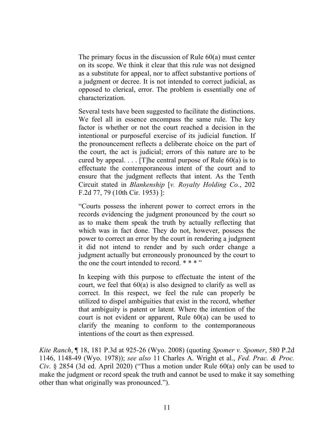The primary focus in the discussion of [Rule 60\(a\)](http://www.westlaw.com/Link/Document/FullText?findType=L&pubNum=1008760&cite=WYRRCPR60&originatingDoc=I4538e6d8055c11ddb595a478de34cd72&refType=LQ&originationContext=document&vr=3.0&rs=cblt1.0&transitionType=DocumentItem&contextData=(sc.UserEnteredCitation)) must center on its scope. We think it clear that this rule was not designed as a substitute for appeal, nor to affect substantive portions of a judgment or decree. It is not intended to correct judicial, as opposed to clerical, error. The problem is essentially one of characterization.

Several tests have been suggested to facilitate the distinctions. We feel all in essence encompass the same rule. The key factor is whether or not the court reached a decision in the intentional or purposeful exercise of its judicial function. If the pronouncement reflects a deliberate choice on the part of the court, the act is judicial; errors of this nature are to be cured by appeal.  $\ldots$  [T] he central purpose of [Rule 60\(a\)](http://www.westlaw.com/Link/Document/FullText?findType=L&pubNum=1008760&cite=WYRRCPR60&originatingDoc=I4538e6d8055c11ddb595a478de34cd72&refType=LQ&originationContext=document&vr=3.0&rs=cblt1.0&transitionType=DocumentItem&contextData=(sc.UserEnteredCitation)) is to effectuate the contemporaneous intent of the court and to ensure that the judgment reflects that intent. As the Tenth Circuit stated in *Blankenship* [*v. Royalty Holding Co.*, 202 F.2d 77, 79 (10th Cir. 1953) ]:

"Courts possess the inherent power to correct errors in the records evidencing the judgment pronounced by the court so as to make them speak the truth by actually reflecting that which was in fact done. They do not, however, possess the power to correct an error by the court in rendering a judgment it did not intend to render and by such order change a judgment actually but erroneously pronounced by the court to the one the court intended to record.  $***$ "

In keeping with this purpose to effectuate the intent of the court, we feel that  $60(a)$  is also designed to clarify as well as correct. In this respect, we feel the rule can properly be utilized to dispel ambiguities that exist in the record, whether that ambiguity is patent or latent. Where the intention of the court is not evident or apparent, [Rule 60\(a\)](http://www.westlaw.com/Link/Document/FullText?findType=L&pubNum=1008760&cite=WYRRCPR60&originatingDoc=I4538e6d8055c11ddb595a478de34cd72&refType=LQ&originationContext=document&vr=3.0&rs=cblt1.0&transitionType=DocumentItem&contextData=(sc.UserEnteredCitation)) can be used to clarify the meaning to conform to the contemporaneous intentions of the court as then expressed.

*Kite Ranch*, ¶ 18, 181 P.3d at 925-26 (Wyo. 2008) (quoting *Spomer v. Spomer*, 580 P.2d 1146, 1148-49 (Wyo. 1978)); *see also* 11 Charles A. Wright et al., *Fed. Prac. & Proc. Civ*. § 2854 (3d ed. April 2020) ("Thus a motion under Rule 60(a) only can be used to make the judgment or record speak the truth and cannot be used to make it say something other than what originally was pronounced.").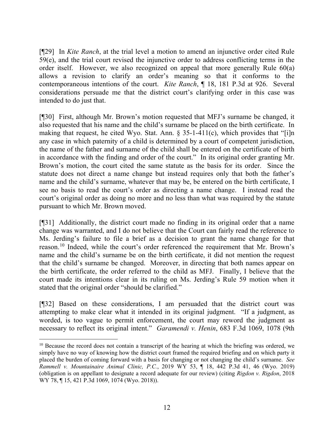[¶29] In *Kite Ranch*, at the trial level a motion to amend an injunctive order cited Rule 59(e), and the trial court revised the injunctive order to address conflicting terms in the order itself. However, we also recognized on appeal that more generally Rule 60(a) allows a revision to clarify an order's meaning so that it conforms to the contemporaneous intentions of the court. *Kite Ranch*, ¶ 18, 181 P.3d at 926. Several considerations persuade me that the district court's clarifying order in this case was intended to do just that.

[¶30] First, although Mr. Brown's motion requested that MFJ's surname be changed, it also requested that his name and the child's surname be placed on the birth certificate. In making that request, he cited Wyo. Stat. Ann.  $\S$  35-1-411(c), which provides that "[i]n any case in which paternity of a child is determined by a court of competent jurisdiction, the name of the father and surname of the child shall be entered on the certificate of birth in accordance with the finding and order of the court." In its original order granting Mr. Brown's motion, the court cited the same statute as the basis for its order. Since the statute does not direct a name change but instead requires only that both the father's name and the child's surname, whatever that may be, be entered on the birth certificate, I see no basis to read the court's order as directing a name change. I instead read the court's original order as doing no more and no less than what was required by the statute pursuant to which Mr. Brown moved.

[¶31] Additionally, the district court made no finding in its original order that a name change was warranted, and I do not believe that the Court can fairly read the reference to Ms. Jerding's failure to file a brief as a decision to grant the name change for that reason.[10](#page-12-0) Indeed, while the court's order referenced the requirement that Mr. Brown's name and the child's surname be on the birth certificate, it did not mention the request that the child's surname be changed. Moreover, in directing that both names appear on the birth certificate, the order referred to the child as MFJ. Finally, I believe that the court made its intentions clear in its ruling on Ms. Jerding's Rule 59 motion when it stated that the original order "should be clarified."

[¶32] Based on these considerations, I am persuaded that the district court was attempting to make clear what it intended in its original judgment. "If a judgment, as worded, is too vague to permit enforcement, the court may reword the judgment as necessary to reflect its original intent." *Garamendi v. Henin*, 683 F.3d 1069, 1078 (9th

<span id="page-12-0"></span><sup>&</sup>lt;sup>10</sup> Because the record does not contain a transcript of the hearing at which the briefing was ordered, we simply have no way of knowing how the district court framed the required briefing and on which party it placed the burden of coming forward with a basis for changing or not changing the child's surname. *See Rammell v. Mountainaire Animal Clinic, P.C.*, 2019 WY 53, ¶ 18, 442 P.3d 41, 46 (Wyo. 2019) (obligation is on appellant to designate a record adequate for our review) (citing *[Rigdon v. Rigdon](http://www.westlaw.com/Link/Document/FullText?findType=Y&serNum=2044957432&pubNum=0004645&originatingDoc=I425bb7307c2211e9a3ecec4a01914b9c&refType=RP&fi=co_pp_sp_4645_1074&originationContext=document&vr=3.0&rs=cblt1.0&transitionType=DocumentItem&contextData=(sc.Search)#co_pp_sp_4645_1074)*, 2018 WY 78, 15, [421 P.3d 1069, 1074 \(Wyo. 2018\)\)](http://www.westlaw.com/Link/Document/FullText?findType=Y&serNum=2044957432&pubNum=0004645&originatingDoc=I425bb7307c2211e9a3ecec4a01914b9c&refType=RP&fi=co_pp_sp_4645_1074&originationContext=document&vr=3.0&rs=cblt1.0&transitionType=DocumentItem&contextData=(sc.Search)#co_pp_sp_4645_1074).